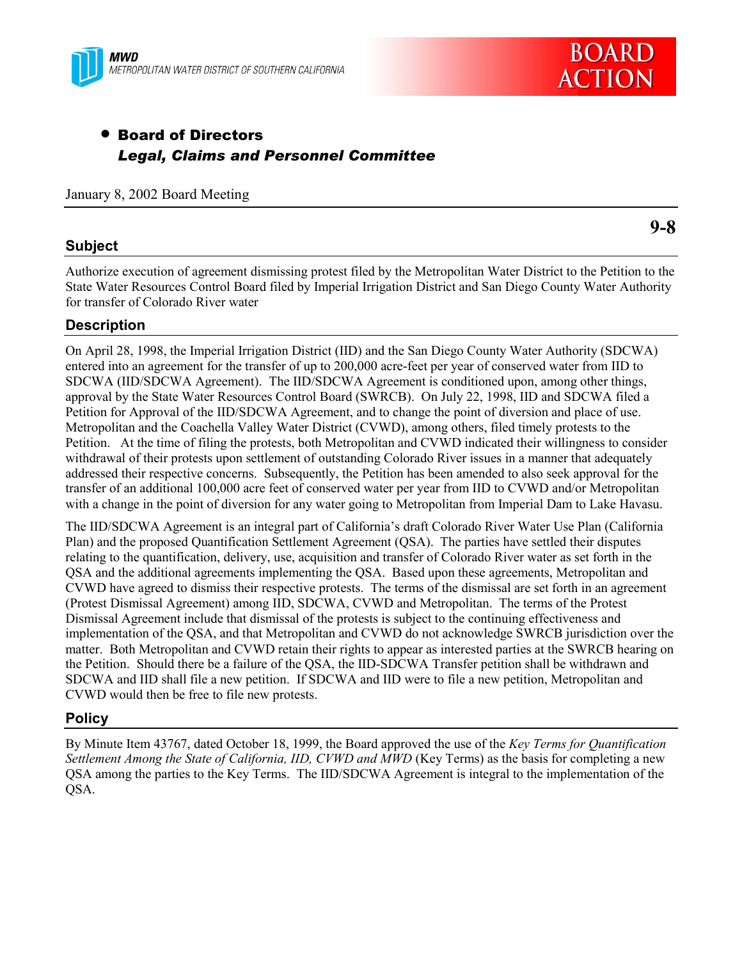



# • Board of Directors *Legal, Claims and Personnel Committee*

January 8, 2002 Board Meeting

### **Subject**

**9-8**

Authorize execution of agreement dismissing protest filed by the Metropolitan Water District to the Petition to the State Water Resources Control Board filed by Imperial Irrigation District and San Diego County Water Authority for transfer of Colorado River water

# **Description**

On April 28, 1998, the Imperial Irrigation District (IID) and the San Diego County Water Authority (SDCWA) entered into an agreement for the transfer of up to 200,000 acre-feet per year of conserved water from IID to SDCWA (IID/SDCWA Agreement). The IID/SDCWA Agreement is conditioned upon, among other things, approval by the State Water Resources Control Board (SWRCB). On July 22, 1998, IID and SDCWA filed a Petition for Approval of the IID/SDCWA Agreement, and to change the point of diversion and place of use. Metropolitan and the Coachella Valley Water District (CVWD), among others, filed timely protests to the Petition. At the time of filing the protests, both Metropolitan and CVWD indicated their willingness to consider withdrawal of their protests upon settlement of outstanding Colorado River issues in a manner that adequately addressed their respective concerns. Subsequently, the Petition has been amended to also seek approval for the transfer of an additional 100,000 acre feet of conserved water per year from IID to CVWD and/or Metropolitan with a change in the point of diversion for any water going to Metropolitan from Imperial Dam to Lake Havasu.

The IID/SDCWA Agreement is an integral part of Californiaís draft Colorado River Water Use Plan (California Plan) and the proposed Quantification Settlement Agreement (QSA). The parties have settled their disputes relating to the quantification, delivery, use, acquisition and transfer of Colorado River water as set forth in the QSA and the additional agreements implementing the QSA. Based upon these agreements, Metropolitan and CVWD have agreed to dismiss their respective protests. The terms of the dismissal are set forth in an agreement (Protest Dismissal Agreement) among IID, SDCWA, CVWD and Metropolitan. The terms of the Protest Dismissal Agreement include that dismissal of the protests is subject to the continuing effectiveness and implementation of the QSA, and that Metropolitan and CVWD do not acknowledge SWRCB jurisdiction over the matter. Both Metropolitan and CVWD retain their rights to appear as interested parties at the SWRCB hearing on the Petition. Should there be a failure of the QSA, the IID-SDCWA Transfer petition shall be withdrawn and SDCWA and IID shall file a new petition. If SDCWA and IID were to file a new petition, Metropolitan and CVWD would then be free to file new protests.

# **Policy**

By Minute Item 43767, dated October 18, 1999, the Board approved the use of the *Key Terms for Quantification Settlement Among the State of California, IID, CVWD and MWD* (Key Terms) as the basis for completing a new QSA among the parties to the Key Terms. The IID/SDCWA Agreement is integral to the implementation of the QSA.